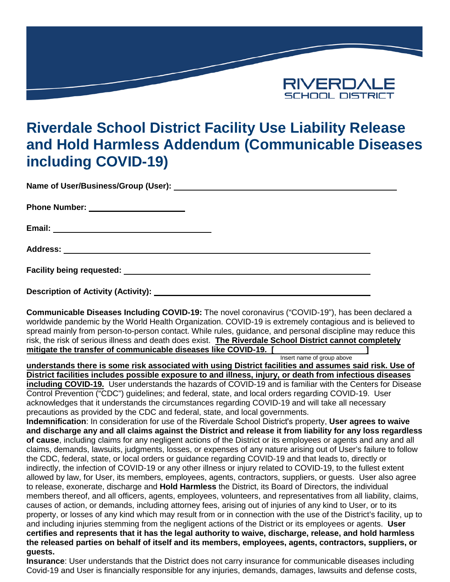

## **Riverdale School District Facility Use Liability Release and Hold Harmless Addendum (Communicable Diseases including COVID-19)**

**Name of User/Business/Group (User):**

**Phone Number:**

**Email:**

**Address:**

**Facility being requested:**

**Description of Activity (Activity):**

**Communicable Diseases Including COVID-19:** The novel coronavirus ("COVID-19"), has been declared a worldwide pandemic by the World Health Organization. COVID-19 is extremely contagious and is believed to spread mainly from person-to-person contact. While rules, guidance, and personal discipline may reduce this risk, the risk of serious illness and death does exist. **The Riverdale School District cannot completely mitigate the transfer of communicable diseases like COVID-19. [ ]**

Insert name of group above

**understands there is some risk associated with using District facilities and assumes said risk. Use of District facilities includes possible exposure to and illness, injury, or death from infectious diseases including COVID-19.** User understands the hazards of COVID-19 and is familiar with the Centers for Disease Control Prevention ("CDC") guidelines; and federal, state, and local orders regarding COVID-19. User acknowledges that it understands the circumstances regarding COVID-19 and will take all necessary precautions as provided by the CDC and federal, state, and local governments.

**Indemnification**: In consideration for use of the Riverdale School District's property, **User agrees to waive and discharge any and all claims against the District and release it from liability for any loss regardless of cause**, including claims for any negligent actions of the District or its employees or agents and any and all claims, demands, lawsuits, judgments, losses, or expenses of any nature arising out of User's failure to follow the CDC, federal, state, or local orders or guidance regarding COVID-19 and that leads to, directly or indirectly, the infection of COVID-19 or any other illness or injury related to COVID-19, to the fullest extent allowed by law, for User, its members, employees, agents, contractors, suppliers, or guests. User also agree to release, exonerate, discharge and **Hold Harmless** the District, its Board of Directors, the individual members thereof, and all officers, agents, employees, volunteers, and representatives from all liability, claims, causes of action, or demands, including attorney fees, arising out of injuries of any kind to User, or to its property, or losses of any kind which may result from or in connection with the use of the District's facility, up to and including injuries stemming from the negligent actions of the District or its employees or agents. **User certifies and represents that it has the legal authority to waive, discharge, release, and hold harmless the released parties on behalf of itself and its members, employees, agents, contractors, suppliers, or guests.**

**Insurance**: User understands that the District does not carry insurance for communicable diseases including Covid-19 and User is financially responsible for any injuries, demands, damages, lawsuits and defense costs,